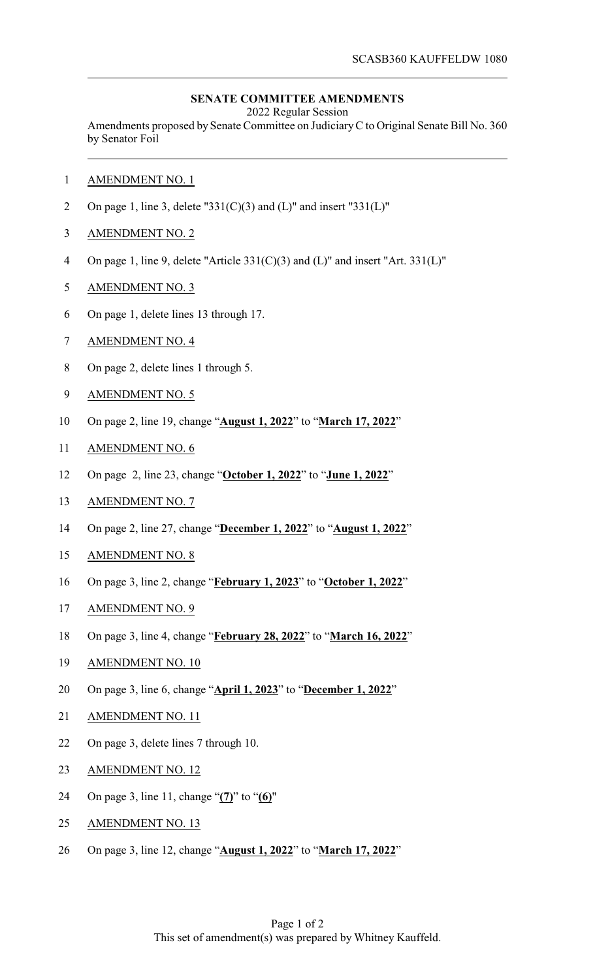## **SENATE COMMITTEE AMENDMENTS**

2022 Regular Session

Amendments proposed by Senate Committee on JudiciaryC to Original Senate Bill No. 360 by Senator Foil

- AMENDMENT NO. 1
- 2 On page 1, line 3, delete "331(C)(3) and (L)" and insert "331(L)"
- AMENDMENT NO. 2
- On page 1, line 9, delete "Article 331(C)(3) and (L)" and insert "Art. 331(L)"
- AMENDMENT NO. 3
- On page 1, delete lines 13 through 17.
- AMENDMENT NO. 4
- On page 2, delete lines 1 through 5.
- AMENDMENT NO. 5
- On page 2, line 19, change "**August 1, 2022**" to "**March 17, 2022**"
- AMENDMENT NO. 6
- On page 2, line 23, change "**October 1, 2022**" to "**June 1, 2022**"
- AMENDMENT NO. 7
- On page 2, line 27, change "**December 1, 2022**" to "**August 1, 2022**"
- AMENDMENT NO. 8
- On page 3, line 2, change "**February 1, 2023**" to "**October 1, 2022**"
- AMENDMENT NO. 9
- On page 3, line 4, change "**February 28, 2022**" to "**March 16, 2022**"
- AMENDMENT NO. 10
- On page 3, line 6, change "**April 1, 2023**" to "**December 1, 2022**"
- AMENDMENT NO. 11
- On page 3, delete lines 7 through 10.
- AMENDMENT NO. 12
- On page 3, line 11, change "**(7)**" to "**(6)**"
- 25 AMENDMENT NO. 13
- On page 3, line 12, change "**August 1, 2022**" to "**March 17, 2022**"